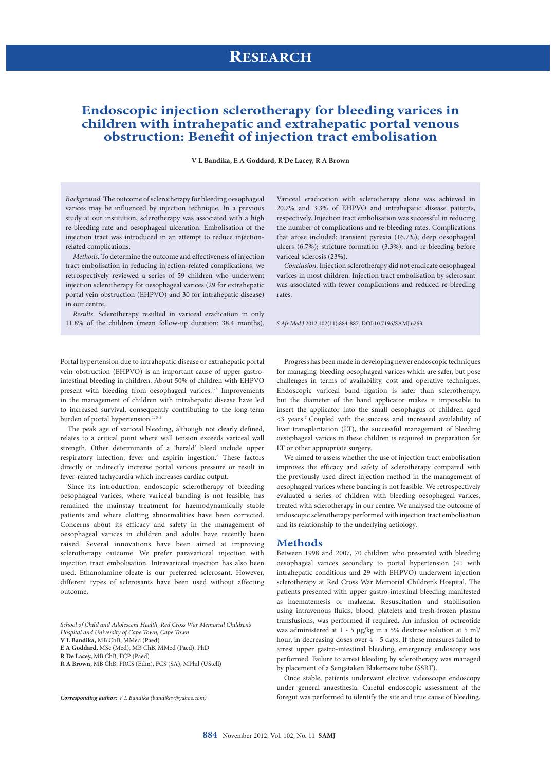# **RESEARCH**

### **Endoscopic injection sclerotherapy for bleeding varices in children with intrahepatic and extrahepatic portal venous obstruction: Benefit of injection tract embolisation**

#### **V L Bandika, E A Goddard, R De Lacey, R A Brown**

*Background.* The outcome of sclerotherapy for bleeding oesophageal varices may be influenced by injection technique. In a previous study at our institution, sclerotherapy was associated with a high re-bleeding rate and oesophageal ulceration. Embolisation of the injection tract was introduced in an attempt to reduce injectionrelated complications.

*Methods.* To determine the outcome and effectiveness of injection tract embolisation in reducing injection-related complications, we retrospectively reviewed a series of 59 children who underwent injection sclerotherapy for oesophageal varices (29 for extrahepatic portal vein obstruction (EHPVO) and 30 for intrahepatic disease) in our centre.

*Results.* Sclerotherapy resulted in variceal eradication in only 11.8% of the children (mean follow-up duration: 38.4 months).

Portal hypertension due to intrahepatic disease or extrahepatic portal vein obstruction (EHPVO) is an important cause of upper gastrointestinal bleeding in children. About 50% of children with EHPVO present with bleeding from oesophageal varices.<sup>1-3</sup> Improvements in the management of children with intrahepatic disease have led to increased survival, consequently contributing to the long-term burden of portal hypertension.<sup>1, 3-5</sup>

The peak age of variceal bleeding, although not clearly defined, relates to a critical point where wall tension exceeds variceal wall strength. Other determinants of a 'herald' bleed include upper respiratory infection, fever and aspirin ingestion.<sup>6</sup> These factors directly or indirectly increase portal venous pressure or result in fever-related tachycardia which increases cardiac output.

Since its introduction, endoscopic sclerotherapy of bleeding oesophageal varices, where variceal banding is not feasible, has remained the mainstay treatment for haemodynamically stable patients and where clotting abnormalities have been corrected. Concerns about its efficacy and safety in the management of oesophageal varices in children and adults have recently been raised. Several innovations have been aimed at improving sclerotherapy outcome. We prefer paravariceal injection with injection tract embolisation. Intravariceal injection has also been used. Ethanolamine oleate is our preferred sclerosant. However, different types of sclerosants have been used without affecting outcome.

*School of Child and Adolescent Health, Red Cross War Memorial Children's Hospital and University of Cape Town, Cape Town*

**V L Bandika,** MB ChB, MMed (Paed)

**E A Goddard,** MSc (Med), MB ChB, MMed (Paed), PhD

**R De Lacey,** MB ChB, FCP (Paed)

*Corresponding author: V L Bandika (bandikav@yahoo.com)*

Variceal eradication with sclerotherapy alone was achieved in 20.7% and 3.3% of EHPVO and intrahepatic disease patients, respectively. Injection tract embolisation was successful in reducing the number of complications and re-bleeding rates. Complications that arose included: transient pyrexia (16.7%); deep oesophageal ulcers (6.7%); stricture formation (3.3%); and re-bleeding before variceal sclerosis (23%).

*Conclusion.* Injection sclerotherapy did not eradicate oesophageal varices in most children. Injection tract embolisation by sclerosant was associated with fewer complications and reduced re-bleeding rates.

*S Afr Med J* 2012;102(11):884-887. DOI:10.7196/SAMJ.6263

Progress has been made in developing newer endoscopic techniques for managing bleeding oesophageal varices which are safer, but pose challenges in terms of availability, cost and operative techniques. Endoscopic variceal band ligation is safer than sclerotherapy, but the diameter of the band applicator makes it impossible to insert the applicator into the small oesophagus of children aged <3 years.7 Coupled with the success and increased availability of liver transplantation (LT), the successful management of bleeding oesophageal varices in these children is required in preparation for LT or other appropriate surgery.

We aimed to assess whether the use of injection tract embolisation improves the efficacy and safety of sclerotherapy compared with the previously used direct injection method in the management of oesophageal varices where banding is not feasible. We retrospectively evaluated a series of children with bleeding oesophageal varices, treated with sclerotherapy in our centre. We analysed the outcome of endoscopic sclerotherapy performed with injection tract embolisation and its relationship to the underlying aetiology.

#### **Methods**

Between 1998 and 2007, 70 children who presented with bleeding oesophageal varices secondary to portal hypertension (41 with intrahepatic conditions and 29 with EHPVO) underwent injection sclerotherapy at Red Cross War Memorial Children's Hospital. The patients presented with upper gastro-intestinal bleeding manifested as haematemesis or malaena. Resuscitation and stabilisation using intravenous fluids, blood, platelets and fresh-frozen plasma transfusions, was performed if required. An infusion of octreotide was administered at 1 - 5 µg/kg in a 5% dextrose solution at 5 ml/ hour, in decreasing doses over 4 - 5 days. If these measures failed to arrest upper gastro-intestinal bleeding, emergency endoscopy was performed. Failure to arrest bleeding by sclerotherapy was managed by placement of a Sengstaken Blakemore tube (SSBT).

Once stable, patients underwent elective videoscope endoscopy under general anaesthesia. Careful endoscopic assessment of the foregut was performed to identify the site and true cause of bleeding.

**R A Brown,** MB ChB, FRCS (Edin), FCS (SA), MPhil (UStell)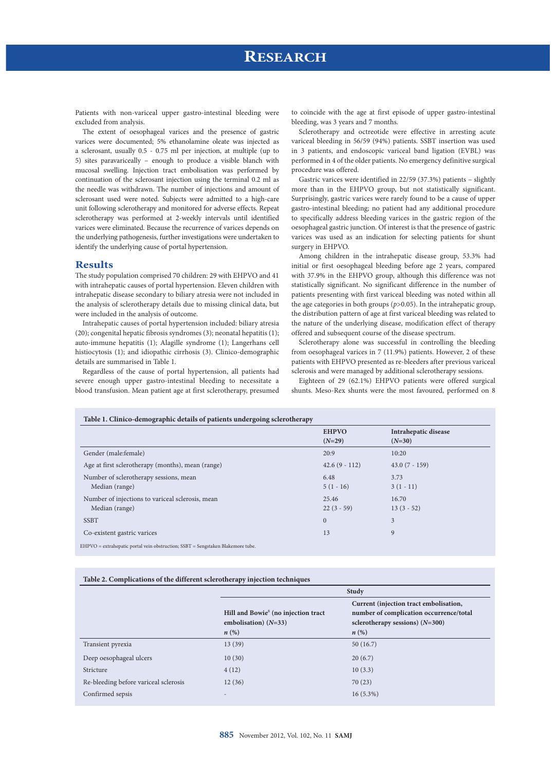Patients with non-variceal upper gastro-intestinal bleeding were excluded from analysis.

The extent of oesophageal varices and the presence of gastric varices were documented; 5% ethanolamine oleate was injected as a sclerosant, usually 0.5 - 0.75 ml per injection, at multiple (up to 5) sites paravariceally – enough to produce a visible blanch with mucosal swelling. Injection tract embolisation was performed by continuation of the sclerosant injection using the terminal 0.2 ml as the needle was withdrawn. The number of injections and amount of sclerosant used were noted. Subjects were admitted to a high-care unit following sclerotherapy and monitored for adverse effects. Repeat sclerotherapy was performed at 2-weekly intervals until identified varices were eliminated. Because the recurrence of varices depends on the underlying pathogenesis, further investigations were undertaken to identify the underlying cause of portal hypertension.

### **Results**

The study population comprised 70 children: 29 with EHPVO and 41 with intrahepatic causes of portal hypertension. Eleven children with intrahepatic disease secondary to biliary atresia were not included in the analysis of sclerotherapy details due to missing clinical data, but were included in the analysis of outcome.

Intrahepatic causes of portal hypertension included: biliary atresia (20); congenital hepatic fibrosis syndromes (3); neonatal hepatitis (1); auto-immune hepatitis (1); Alagille syndrome (1); Langerhans cell histiocytosis (1); and idiopathic cirrhosis (3). Clinico-demographic details are summarised in Table 1.

Regardless of the cause of portal hypertension, all patients had severe enough upper gastro-intestinal bleeding to necessitate a blood transfusion. Mean patient age at first sclerotherapy, presumed

to coincide with the age at first episode of upper gastro-intestinal bleeding, was 3 years and 7 months.

Sclerotherapy and octreotide were effective in arresting acute variceal bleeding in 56/59 (94%) patients. SSBT insertion was used in 3 patients, and endoscopic variceal band ligation (EVBL) was performed in 4 of the older patients. No emergency definitive surgical procedure was offered.

Gastric varices were identified in 22/59 (37.3%) patients – slightly more than in the EHPVO group, but not statistically significant. Surprisingly, gastric varices were rarely found to be a cause of upper gastro-intestinal bleeding; no patient had any additional procedure to specifically address bleeding varices in the gastric region of the oesophageal gastric junction. Of interest is that the presence of gastric varices was used as an indication for selecting patients for shunt surgery in EHPVO.

Among children in the intrahepatic disease group, 53.3% had initial or first oesophageal bleeding before age 2 years, compared with 37.9% in the EHPVO group, although this difference was not statistically significant. No significant difference in the number of patients presenting with first variceal bleeding was noted within all the age categories in both groups (*p*>0.05). In the intrahepatic group, the distribution pattern of age at first variceal bleeding was related to the nature of the underlying disease, modification effect of therapy offered and subsequent course of the disease spectrum.

Sclerotherapy alone was successful in controlling the bleeding from oesophageal varices in 7 (11.9%) patients. However, 2 of these patients with EHPVO presented as re-bleeders after previous variceal sclerosis and were managed by additional sclerotherapy sessions.

Eighteen of 29 (62.1%) EHPVO patients were offered surgical shunts. Meso-Rex shunts were the most favoured, performed on 8

#### **Table 1. Clinico-demographic details of patients undergoing sclerotherapy**

|                                                   | <b>EHPVO</b>    | Intrahepatic disease<br>$(N=30)$ |
|---------------------------------------------------|-----------------|----------------------------------|
|                                                   | $(N=29)$        |                                  |
| Gender (male: female)                             | 20:9            | 10:20                            |
| Age at first sclerotherapy (months), mean (range) | $42.6(9 - 112)$ | $43.0(7 - 159)$                  |
| Number of sclerotherapy sessions, mean            | 6.48            | 3.73                             |
| Median (range)                                    | $5(1 - 16)$     | $3(1-11)$                        |
| Number of injections to variceal sclerosis, mean  | 25.46           | 16.70                            |
| Median (range)                                    | $22(3 - 59)$    | $13(3-52)$                       |
| <b>SSBT</b>                                       | $\mathbf{0}$    | 3                                |
| Co-existent gastric varices                       | 13              | 9                                |
|                                                   |                 |                                  |

 $EHPVO =$  extrahepatic portal vein obstruction;  $SSBT =$  Sengst

#### **Table 2. Complications of the different sclerotherapy injection techniques**

|                                       | <b>Study</b>                                                                                    |                                                                                                                                              |  |
|---------------------------------------|-------------------------------------------------------------------------------------------------|----------------------------------------------------------------------------------------------------------------------------------------------|--|
|                                       | Hill and Bowie <sup>8</sup> (no injection tract<br>embolisation) $(N=33)$<br>$n\left(\%\right)$ | Current (injection tract embolisation,<br>number of complication occurrence/total<br>sclerotherapy sessions) $(N=300)$<br>$n\left(\%\right)$ |  |
| Transient pyrexia                     | 13(39)                                                                                          | 50(16.7)                                                                                                                                     |  |
| Deep oesophageal ulcers               | 10(30)                                                                                          | 20(6.7)                                                                                                                                      |  |
| Stricture                             | 4(12)                                                                                           | 10(3.3)                                                                                                                                      |  |
| Re-bleeding before variceal sclerosis | 12(36)                                                                                          | 70(23)                                                                                                                                       |  |
| Confirmed sepsis                      | $\qquad \qquad$                                                                                 | $16(5.3\%)$                                                                                                                                  |  |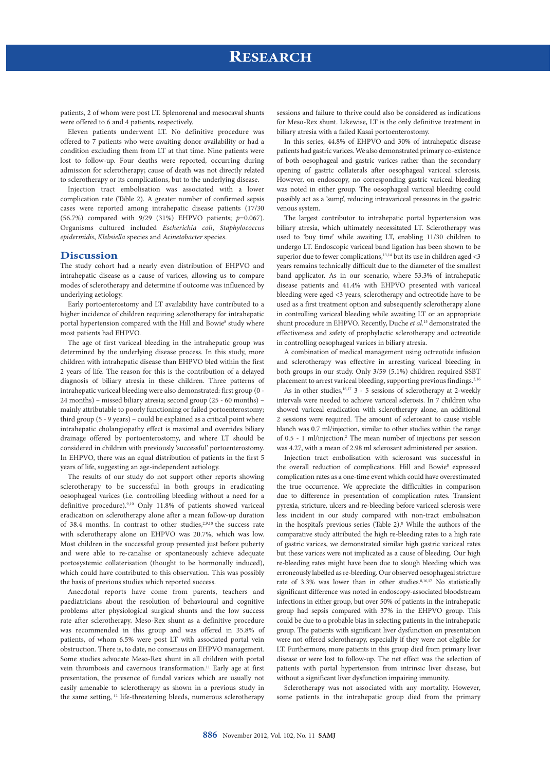patients, 2 of whom were post LT. Splenorenal and mesocaval shunts were offered to 6 and 4 patients, respectively.

Eleven patients underwent LT. No definitive procedure was offered to 7 patients who were awaiting donor availability or had a condition excluding them from LT at that time. Nine patients were lost to follow-up. Four deaths were reported, occurring during admission for sclerotherapy; cause of death was not directly related to sclerotherapy or its complications, but to the underlying disease.

Injection tract embolisation was associated with a lower complication rate (Table 2). A greater number of confirmed sepsis cases were reported among intrahepatic disease patients (17/30 (56.7%) compared with 9/29 (31%) EHPVO patients; *p*=0.067). Organisms cultured included *Escherichia coli*, *Staphylococcus epidermidis*, *Klebsiella* species and *Acinetobacter* species.

#### **Discussion**

The study cohort had a nearly even distribution of EHPVO and intrahepatic disease as a cause of varices, allowing us to compare modes of sclerotherapy and determine if outcome was influenced by underlying aetiology.

Early portoenterostomy and LT availability have contributed to a higher incidence of children requiring sclerotherapy for intrahepatic portal hypertension compared with the Hill and Bowie<sup>8</sup> study where most patients had EHPVO.

The age of first variceal bleeding in the intrahepatic group was determined by the underlying disease process. In this study, more children with intrahepatic disease than EHPVO bled within the first 2 years of life. The reason for this is the contribution of a delayed diagnosis of biliary atresia in these children. Three patterns of intrahepatic variceal bleeding were also demonstrated: first group (0 - 24 months) – missed biliary atresia; second group (25 - 60 months) – mainly attributable to poorly functioning or failed portoenterostomy; third group (5 - 9 years) – could be explained as a critical point where intrahepatic cholangiopathy effect is maximal and overrides biliary drainage offered by portoenterostomy, and where LT should be considered in children with previously 'successful' portoenterostomy. In EHPVO, there was an equal distribution of patients in the first 5 years of life, suggesting an age-independent aetiology.

The results of our study do not support other reports showing sclerotherapy to be successful in both groups in eradicating oesophageal varices (i.e. controlling bleeding without a need for a definitive procedure).9,10 Only 11.8% of patients showed variceal eradication on sclerotherapy alone after a mean follow-up duration of 38.4 months. In contrast to other studies,<sup>2,9,10</sup> the success rate with sclerotherapy alone on EHPVO was 20.7%, which was low. Most children in the successful group presented just before puberty and were able to re-canalise or spontaneously achieve adequate portosystemic collaterisation (thought to be hormonally induced), which could have contributed to this observation. This was possibly the basis of previous studies which reported success.

Anecdotal reports have come from parents, teachers and paediatricians about the resolution of behavioural and cognitive problems after physiological surgical shunts and the low success rate after sclerotherapy. Meso-Rex shunt as a definitive procedure was recommended in this group and was offered in 35.8% of patients, of whom 6.5% were post LT with associated portal vein obstruction. There is, to date, no consensus on EHPVO management. Some studies advocate Meso-Rex shunt in all children with portal vein thrombosis and cavernous transformation.11 Early age at first presentation, the presence of fundal varices which are usually not easily amenable to sclerotherapy as shown in a previous study in the same setting, 12 life-threatening bleeds, numerous sclerotherapy

sessions and failure to thrive could also be considered as indications for Meso-Rex shunt. Likewise, LT is the only definitive treatment in biliary atresia with a failed Kasai portoenterostomy.

In this series, 44.8% of EHPVO and 30% of intrahepatic disease patients had gastric varices. We also demonstrated primary co-existence of both oesophageal and gastric varices rather than the secondary opening of gastric collaterals after oesophageal variceal sclerosis. However, on endoscopy, no corresponding gastric variceal bleeding was noted in either group. The oesophageal variceal bleeding could possibly act as a 'sump', reducing intravariceal pressures in the gastric venous system.

The largest contributor to intrahepatic portal hypertension was biliary atresia, which ultimately necessitated LT. Sclerotherapy was used to 'buy time' while awaiting LT, enabling 11/30 children to undergo LT. Endoscopic variceal band ligation has been shown to be superior due to fewer complications, $13,14$  but its use in children aged <3 years remains technically difficult due to the diameter of the smallest band applicator. As in our scenario, where 53.3% of intrahepatic disease patients and 41.4% with EHPVO presented with variceal bleeding were aged <3 years, sclerotherapy and octreotide have to be used as a first treatment option and subsequently sclerotherapy alone in controlling variceal bleeding while awaiting LT or an appropriate shunt procedure in EHPVO. Recently, Duche *et al.*15 demonstrated the effectiveness and safety of prophylactic sclerotherapy and octreotide in controlling oesophageal varices in biliary atresia.

A combination of medical management using octreotide infusion and sclerotherapy was effective in arresting variceal bleeding in both groups in our study. Only 3/59 (5.1%) children required SSBT placement to arrest variceal bleeding, supporting previous findings. $^{2,16}$ As in other studies,<sup>16,17</sup> 3 - 5 sessions of sclerotherapy at 2-weekly intervals were needed to achieve variceal sclerosis. In 7 children who showed variceal eradication with sclerotherapy alone, an additional 2 sessions were required. The amount of sclerosant to cause visible blanch was 0.7 ml/injection, similar to other studies within the range of 0.5 - 1 ml/injection.2 The mean number of injections per session

was 4.27, with a mean of 2.98 ml sclerosant administered per session. Injection tract embolisation with sclerosant was successful in the overall reduction of complications. Hill and Bowie<sup>8</sup> expressed complication rates as a one-time event which could have overestimated the true occurrence. We appreciate the difficulties in comparison due to difference in presentation of complication rates. Transient pyrexia, stricture, ulcers and re-bleeding before variceal sclerosis were less incident in our study compared with non-tract embolisation in the hospital's previous series (Table 2).<sup>8</sup> While the authors of the comparative study attributed the high re-bleeding rates to a high rate of gastric varices, we demonstrated similar high gastric variceal rates but these varices were not implicated as a cause of bleeding. Our high re-bleeding rates might have been due to slough bleeding which was erroneously labelled as re-bleeding. Our observed oesophageal stricture rate of 3.3% was lower than in other studies.<sup>8,16,17</sup> No statistically significant difference was noted in endoscopy-associated bloodstream infections in either group, but over 50% of patients in the intrahepatic group had sepsis compared with 37% in the EHPVO group. This could be due to a probable bias in selecting patients in the intrahepatic group. The patients with significant liver dysfunction on presentation were not offered sclerotherapy, especially if they were not eligible for LT. Furthermore, more patients in this group died from primary liver disease or were lost to follow-up. The net effect was the selection of patients with portal hypertension from intrinsic liver disease, but without a significant liver dysfunction impairing immunity.

Sclerotherapy was not associated with any mortality. However, some patients in the intrahepatic group died from the primary